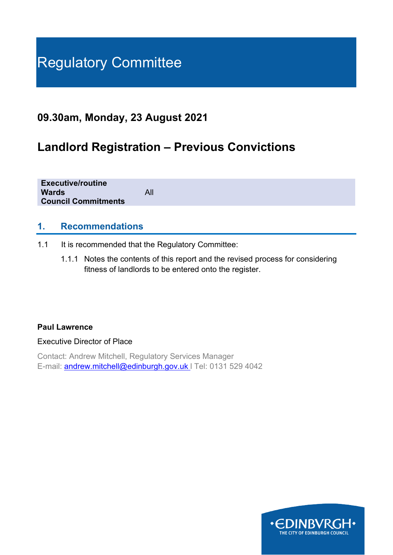# Regulatory Committee

## **09.30am, Monday, 23 August 2021**

## **Landlord Registration – Previous Convictions**

| <b>Executive/routine</b>   |     |
|----------------------------|-----|
| <b>Wards</b>               | All |
| <b>Council Commitments</b> |     |
|                            |     |

## **1. Recommendations**

- 1.1 It is recommended that the Regulatory Committee:
	- 1.1.1 Notes the contents of this report and the revised process for considering fitness of landlords to be entered onto the register.

#### **Paul Lawrence**

Executive Director of Place

Contact: Andrew Mitchell, Regulatory Services Manager E-mail: [andrew.mitchell@edinburgh.gov.uk](mailto:andrew.mitchell@edinburgh.gov.uk) l Tel: 0131 529 4042

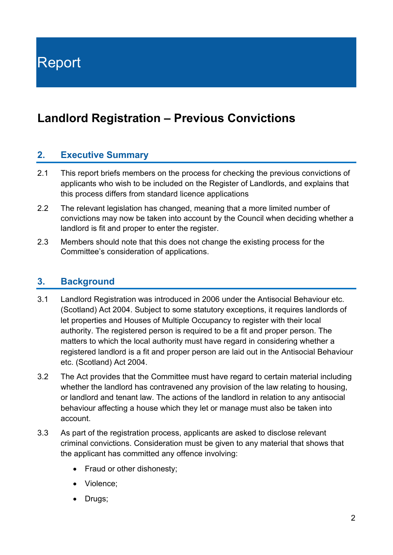Report

## **Landlord Registration – Previous Convictions**

## **2. Executive Summary**

- 2.1 This report briefs members on the process for checking the previous convictions of applicants who wish to be included on the Register of Landlords, and explains that this process differs from standard licence applications
- 2.2 The relevant legislation has changed, meaning that a more limited number of convictions may now be taken into account by the Council when deciding whether a landlord is fit and proper to enter the register.
- 2.3 Members should note that this does not change the existing process for the Committee's consideration of applications.

## **3. Background**

- 3.1 Landlord Registration was introduced in 2006 under the Antisocial Behaviour etc. (Scotland) Act 2004. Subject to some statutory exceptions, it requires landlords of let properties and Houses of Multiple Occupancy to register with their local authority. The registered person is required to be a fit and proper person. The matters to which the local authority must have regard in considering whether a registered landlord is a fit and proper person are laid out in the Antisocial Behaviour etc. (Scotland) Act 2004.
- 3.2 The Act provides that the Committee must have regard to certain material including whether the landlord has contravened any provision of the law relating to housing, or landlord and tenant law. The actions of the landlord in relation to any antisocial behaviour affecting a house which they let or manage must also be taken into account.
- 3.3 As part of the registration process, applicants are asked to disclose relevant criminal convictions. Consideration must be given to any material that shows that the applicant has committed any offence involving:
	- Fraud or other dishonesty;
	- Violence;
	- Drugs;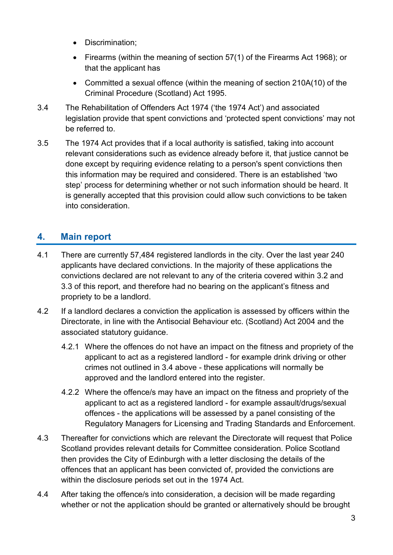- Discrimination;
- Firearms (within the meaning of section 57(1) of the Firearms Act 1968); or that the applicant has
- Committed a sexual offence (within the meaning of section 210A(10) of the Criminal Procedure (Scotland) Act 1995.
- 3.4 The Rehabilitation of Offenders Act 1974 ('the 1974 Act') and associated legislation provide that spent convictions and 'protected spent convictions' may not be referred to.
- 3.5 The 1974 Act provides that if a local authority is satisfied, taking into account relevant considerations such as evidence already before it, that justice cannot be done except by requiring evidence relating to a person's spent convictions then this information may be required and considered. There is an established 'two step' process for determining whether or not such information should be heard. It is generally accepted that this provision could allow such convictions to be taken into consideration.

## **4. Main report**

- 4.1 There are currently 57,484 registered landlords in the city. Over the last year 240 applicants have declared convictions. In the majority of these applications the convictions declared are not relevant to any of the criteria covered within 3.2 and 3.3 of this report, and therefore had no bearing on the applicant's fitness and propriety to be a landlord.
- 4.2 If a landlord declares a conviction the application is assessed by officers within the Directorate, in line with the Antisocial Behaviour etc. (Scotland) Act 2004 and the associated statutory guidance.
	- 4.2.1 Where the offences do not have an impact on the fitness and propriety of the applicant to act as a registered landlord - for example drink driving or other crimes not outlined in 3.4 above - these applications will normally be approved and the landlord entered into the register.
	- 4.2.2 Where the offence/s may have an impact on the fitness and propriety of the applicant to act as a registered landlord - for example assault/drugs/sexual offences - the applications will be assessed by a panel consisting of the Regulatory Managers for Licensing and Trading Standards and Enforcement.
- 4.3 Thereafter for convictions which are relevant the Directorate will request that Police Scotland provides relevant details for Committee consideration. Police Scotland then provides the City of Edinburgh with a letter disclosing the details of the offences that an applicant has been convicted of, provided the convictions are within the disclosure periods set out in the 1974 Act.
- 4.4 After taking the offence/s into consideration, a decision will be made regarding whether or not the application should be granted or alternatively should be brought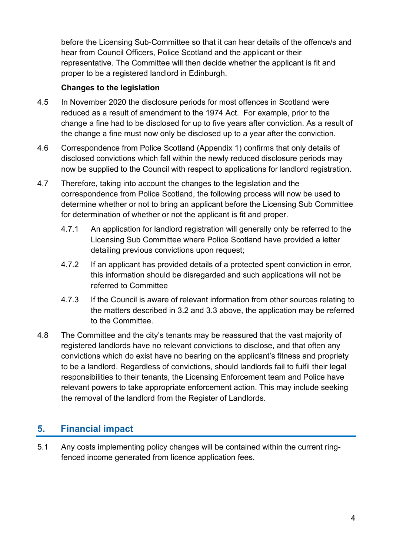before the Licensing Sub-Committee so that it can hear details of the offence/s and hear from Council Officers, Police Scotland and the applicant or their representative. The Committee will then decide whether the applicant is fit and proper to be a registered landlord in Edinburgh.

## **Changes to the legislation**

- 4.5 In November 2020 the disclosure periods for most offences in Scotland were reduced as a result of amendment to the 1974 Act. For example, prior to the change a fine had to be disclosed for up to five years after conviction. As a result of the change a fine must now only be disclosed up to a year after the conviction.
- 4.6 Correspondence from Police Scotland (Appendix 1) confirms that only details of disclosed convictions which fall within the newly reduced disclosure periods may now be supplied to the Council with respect to applications for landlord registration.
- 4.7 Therefore, taking into account the changes to the legislation and the correspondence from Police Scotland, the following process will now be used to determine whether or not to bring an applicant before the Licensing Sub Committee for determination of whether or not the applicant is fit and proper.
	- 4.7.1 An application for landlord registration will generally only be referred to the Licensing Sub Committee where Police Scotland have provided a letter detailing previous convictions upon request;
	- 4.7.2 If an applicant has provided details of a protected spent conviction in error, this information should be disregarded and such applications will not be referred to Committee
	- 4.7.3 If the Council is aware of relevant information from other sources relating to the matters described in 3.2 and 3.3 above, the application may be referred to the Committee.
- 4.8 The Committee and the city's tenants may be reassured that the vast majority of registered landlords have no relevant convictions to disclose, and that often any convictions which do exist have no bearing on the applicant's fitness and propriety to be a landlord. Regardless of convictions, should landlords fail to fulfil their legal responsibilities to their tenants, the Licensing Enforcement team and Police have relevant powers to take appropriate enforcement action. This may include seeking the removal of the landlord from the Register of Landlords.

## **5. Financial impact**

5.1 Any costs implementing policy changes will be contained within the current ringfenced income generated from licence application fees.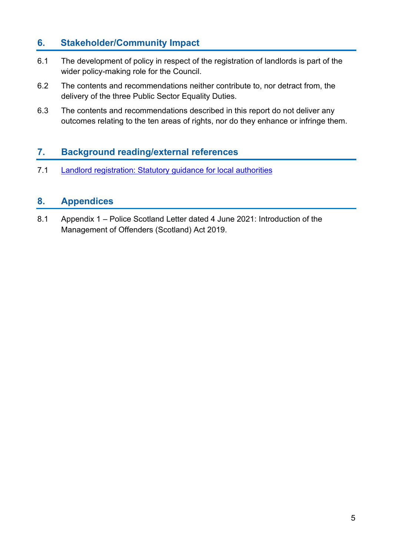## **6. Stakeholder/Community Impact**

- 6.1 The development of policy in respect of the registration of landlords is part of the wider policy-making role for the Council.
- 6.2 The contents and recommendations neither contribute to, nor detract from, the delivery of the three Public Sector Equality Duties.
- 6.3 The contents and recommendations described in this report do not deliver any outcomes relating to the ten areas of rights, nor do they enhance or infringe them.

## **7. Background reading/external references**

7.1 [Landlord registration: Statutory guidance for local authorities](https://www.gov.scot/publications/landlord-registration-statutory-guidance-local-authorities-2017-statutory-guidance-local/)

## **8. Appendices**

8.1 Appendix 1 – Police Scotland Letter dated 4 June 2021: Introduction of the Management of Offenders (Scotland) Act 2019.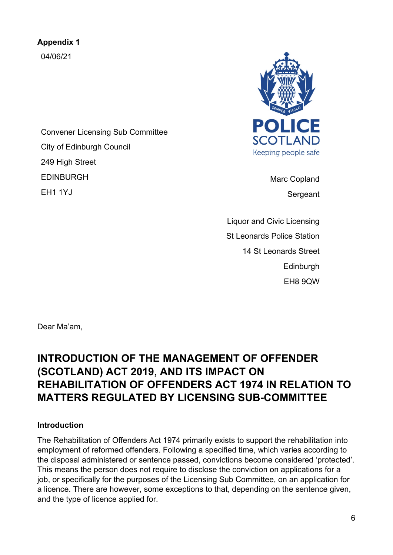**Appendix 1** 04/06/21

Convener Licensing Sub Committee City of Edinburgh Council 249 High Street EDINBURGH EH1 1YJ



Marc Copland Sergeant

Liquor and Civic Licensing St Leonards Police Station 14 St Leonards Street Edinburgh EH8 9QW

Dear Ma'am,

## **INTRODUCTION OF THE MANAGEMENT OF OFFENDER (SCOTLAND) ACT 2019, AND ITS IMPACT ON REHABILITATION OF OFFENDERS ACT 1974 IN RELATION TO MATTERS REGULATED BY LICENSING SUB-COMMITTEE**

#### **Introduction**

The Rehabilitation of Offenders Act 1974 primarily exists to support the rehabilitation into employment of reformed offenders. Following a specified time, which varies according to the disposal administered or sentence passed, convictions become considered 'protected'. This means the person does not require to disclose the conviction on applications for a job, or specifically for the purposes of the Licensing Sub Committee, on an application for a licence. There are however, some exceptions to that, depending on the sentence given, and the type of licence applied for.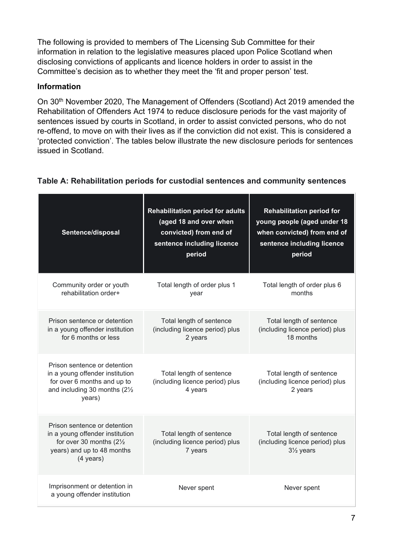The following is provided to members of The Licensing Sub Committee for their information in relation to the legislative measures placed upon Police Scotland when disclosing convictions of applicants and licence holders in order to assist in the Committee's decision as to whether they meet the 'fit and proper person' test.

## **Information**

On 30<sup>th</sup> November 2020, The Management of Offenders (Scotland) Act 2019 amended the Rehabilitation of Offenders Act 1974 to reduce disclosure periods for the vast majority of sentences issued by courts in Scotland, in order to assist convicted persons, who do not re-offend, to move on with their lives as if the conviction did not exist. This is considered a 'protected conviction'. The tables below illustrate the new disclosure periods for sentences issued in Scotland.

| Sentence/disposal                                                                                                                                           | <b>Rehabilitation period for adults</b><br>(aged 18 and over when<br>convicted) from end of<br>sentence including licence<br>period | <b>Rehabilitation period for</b><br>young people (aged under 18<br>when convicted) from end of<br>sentence including licence<br>period |
|-------------------------------------------------------------------------------------------------------------------------------------------------------------|-------------------------------------------------------------------------------------------------------------------------------------|----------------------------------------------------------------------------------------------------------------------------------------|
| Community order or youth<br>rehabilitation order+                                                                                                           | Total length of order plus 1<br>year                                                                                                | Total length of order plus 6<br>months                                                                                                 |
| Prison sentence or detention<br>in a young offender institution<br>for 6 months or less                                                                     | Total length of sentence<br>(including licence period) plus<br>2 years                                                              | Total length of sentence<br>(including licence period) plus<br>18 months                                                               |
| Prison sentence or detention<br>in a young offender institution<br>for over 6 months and up to<br>and including 30 months (21/2<br>years)                   | Total length of sentence<br>(including licence period) plus<br>4 years                                                              | Total length of sentence<br>(including licence period) plus<br>2 years                                                                 |
| Prison sentence or detention<br>in a young offender institution<br>for over 30 months $(2\frac{1}{2})$<br>years) and up to 48 months<br>$(4 \text{ years})$ | Total length of sentence<br>(including licence period) plus<br>7 years                                                              | Total length of sentence<br>(including licence period) plus<br>31/ <sub>2</sub> years                                                  |
| Imprisonment or detention in<br>a young offender institution                                                                                                | Never spent                                                                                                                         | Never spent                                                                                                                            |

#### **Table A: Rehabilitation periods for custodial sentences and community sentences**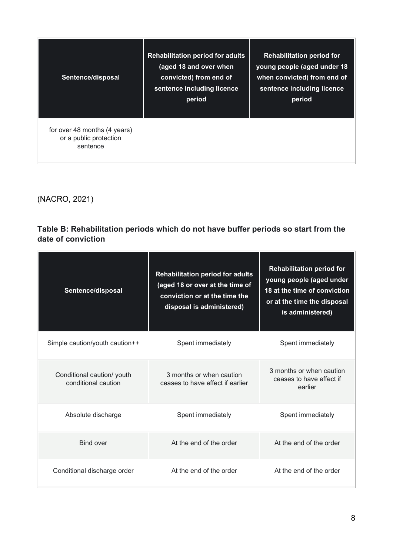| Sentence/disposal                                                  | <b>Rehabilitation period for adults</b><br>(aged 18 and over when<br>convicted) from end of<br>sentence including licence<br>period | <b>Rehabilitation period for</b><br>young people (aged under 18<br>when convicted) from end of<br>sentence including licence<br>period |
|--------------------------------------------------------------------|-------------------------------------------------------------------------------------------------------------------------------------|----------------------------------------------------------------------------------------------------------------------------------------|
| for over 48 months (4 years)<br>or a public protection<br>sentence |                                                                                                                                     |                                                                                                                                        |

(NACRO, 2021)

## **Table B: Rehabilitation periods which do not have buffer periods so start from the date of conviction**

| Sentence/disposal                                 | <b>Rehabilitation period for adults</b><br>(aged 18 or over at the time of<br>conviction or at the time the<br>disposal is administered) | <b>Rehabilitation period for</b><br>young people (aged under<br>18 at the time of conviction<br>or at the time the disposal<br>is administered) |
|---------------------------------------------------|------------------------------------------------------------------------------------------------------------------------------------------|-------------------------------------------------------------------------------------------------------------------------------------------------|
| Simple caution/youth caution++                    | Spent immediately                                                                                                                        | Spent immediately                                                                                                                               |
| Conditional caution/ youth<br>conditional caution | 3 months or when caution<br>ceases to have effect if earlier                                                                             | 3 months or when caution<br>ceases to have effect if<br>earlier                                                                                 |
| Absolute discharge                                | Spent immediately                                                                                                                        | Spent immediately                                                                                                                               |
| Bind over                                         | At the end of the order                                                                                                                  | At the end of the order                                                                                                                         |
| Conditional discharge order                       | At the end of the order                                                                                                                  | At the end of the order                                                                                                                         |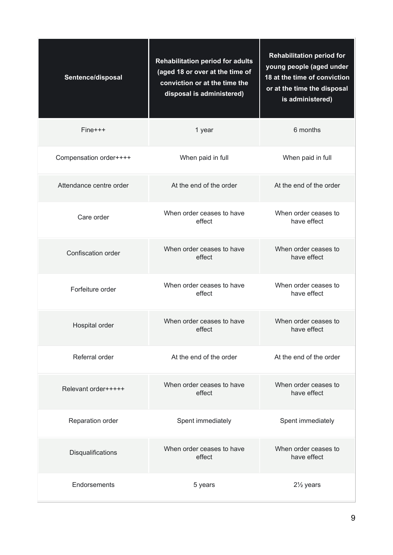| Sentence/disposal       | <b>Rehabilitation period for adults</b><br>(aged 18 or over at the time of<br>conviction or at the time the<br>disposal is administered) | <b>Rehabilitation period for</b><br>young people (aged under<br>18 at the time of conviction<br>or at the time the disposal<br>is administered) |
|-------------------------|------------------------------------------------------------------------------------------------------------------------------------------|-------------------------------------------------------------------------------------------------------------------------------------------------|
| $Fine++$                | 1 year                                                                                                                                   | 6 months                                                                                                                                        |
| Compensation order++++  | When paid in full                                                                                                                        | When paid in full                                                                                                                               |
| Attendance centre order | At the end of the order                                                                                                                  | At the end of the order                                                                                                                         |
| Care order              | When order ceases to have<br>effect                                                                                                      | When order ceases to<br>have effect                                                                                                             |
| Confiscation order      | When order ceases to have<br>effect                                                                                                      | When order ceases to<br>have effect                                                                                                             |
| Forfeiture order        | When order ceases to have<br>effect                                                                                                      | When order ceases to<br>have effect                                                                                                             |
| Hospital order          | When order ceases to have<br>effect                                                                                                      | When order ceases to<br>have effect                                                                                                             |
| Referral order          | At the end of the order                                                                                                                  | At the end of the order                                                                                                                         |
| Relevant order+++++     | When order ceases to have<br>effect                                                                                                      | When order ceases to<br>have effect                                                                                                             |
| Reparation order        | Spent immediately                                                                                                                        | Spent immediately                                                                                                                               |
| Disqualifications       | When order ceases to have<br>effect                                                                                                      | When order ceases to<br>have effect                                                                                                             |
| Endorsements            | 5 years                                                                                                                                  | $2\frac{1}{2}$ years                                                                                                                            |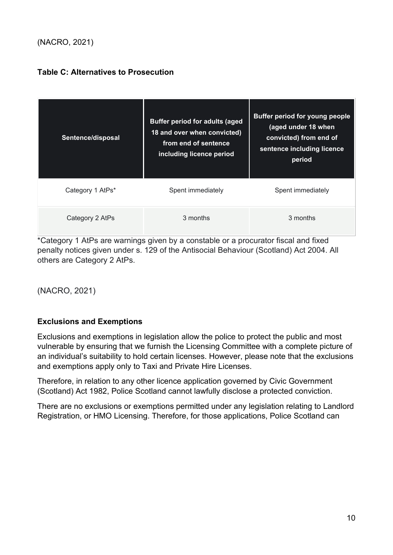## (NACRO, 2021)

#### **Table C: Alternatives to Prosecution**

| Sentence/disposal | <b>Buffer period for adults (aged</b><br>18 and over when convicted)<br>from end of sentence<br>including licence period | <b>Buffer period for young people</b><br>(aged under 18 when<br>convicted) from end of<br>sentence including licence<br>period |
|-------------------|--------------------------------------------------------------------------------------------------------------------------|--------------------------------------------------------------------------------------------------------------------------------|
| Category 1 AtPs*  | Spent immediately                                                                                                        | Spent immediately                                                                                                              |
| Category 2 AtPs   | 3 months                                                                                                                 | 3 months                                                                                                                       |

\*Category 1 AtPs are warnings given by a constable or a procurator fiscal and fixed penalty notices given under s. 129 of the Antisocial Behaviour (Scotland) Act 2004. All others are Category 2 AtPs.

(NACRO, 2021)

#### **Exclusions and Exemptions**

Exclusions and exemptions in legislation allow the police to protect the public and most vulnerable by ensuring that we furnish the Licensing Committee with a complete picture of an individual's suitability to hold certain licenses. However, please note that the exclusions and exemptions apply only to Taxi and Private Hire Licenses.

Therefore, in relation to any other licence application governed by Civic Government (Scotland) Act 1982, Police Scotland cannot lawfully disclose a protected conviction.

There are no exclusions or exemptions permitted under any legislation relating to Landlord Registration, or HMO Licensing. Therefore, for those applications, Police Scotland can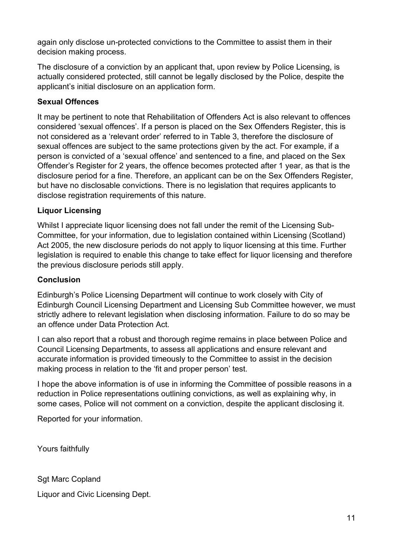again only disclose un-protected convictions to the Committee to assist them in their decision making process.

The disclosure of a conviction by an applicant that, upon review by Police Licensing, is actually considered protected, still cannot be legally disclosed by the Police, despite the applicant's initial disclosure on an application form.

#### **Sexual Offences**

It may be pertinent to note that Rehabilitation of Offenders Act is also relevant to offences considered 'sexual offences'. If a person is placed on the Sex Offenders Register, this is not considered as a 'relevant order' referred to in Table 3, therefore the disclosure of sexual offences are subject to the same protections given by the act. For example, if a person is convicted of a 'sexual offence' and sentenced to a fine, and placed on the Sex Offender's Register for 2 years, the offence becomes protected after 1 year, as that is the disclosure period for a fine. Therefore, an applicant can be on the Sex Offenders Register, but have no disclosable convictions. There is no legislation that requires applicants to disclose registration requirements of this nature.

#### **Liquor Licensing**

Whilst I appreciate liquor licensing does not fall under the remit of the Licensing Sub-Committee, for your information, due to legislation contained within Licensing (Scotland) Act 2005, the new disclosure periods do not apply to liquor licensing at this time. Further legislation is required to enable this change to take effect for liquor licensing and therefore the previous disclosure periods still apply.

#### **Conclusion**

Edinburgh's Police Licensing Department will continue to work closely with City of Edinburgh Council Licensing Department and Licensing Sub Committee however, we must strictly adhere to relevant legislation when disclosing information. Failure to do so may be an offence under Data Protection Act.

I can also report that a robust and thorough regime remains in place between Police and Council Licensing Departments, to assess all applications and ensure relevant and accurate information is provided timeously to the Committee to assist in the decision making process in relation to the 'fit and proper person' test.

I hope the above information is of use in informing the Committee of possible reasons in a reduction in Police representations outlining convictions, as well as explaining why, in some cases, Police will not comment on a conviction, despite the applicant disclosing it.

Reported for your information.

Yours faithfully

Sgt Marc Copland Liquor and Civic Licensing Dept.